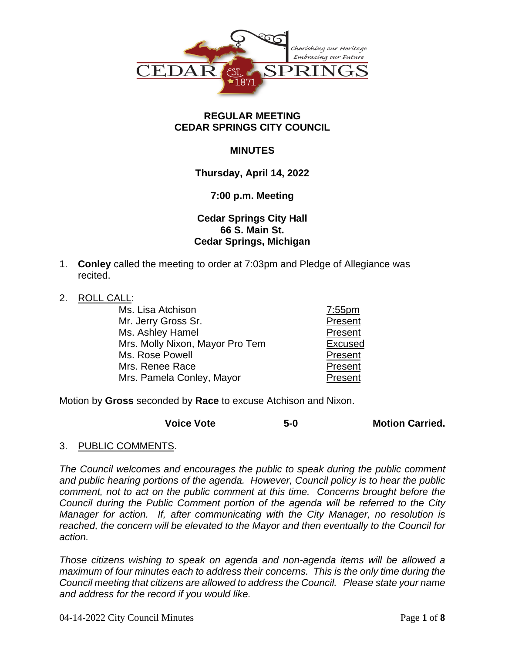

### **REGULAR MEETING CEDAR SPRINGS CITY COUNCIL**

## **MINUTES**

## **Thursday, April 14, 2022**

### **7:00 p.m. Meeting**

## **Cedar Springs City Hall 66 S. Main St. Cedar Springs, Michigan**

- 1. **Conley** called the meeting to order at 7:03pm and Pledge of Allegiance was recited.
- 2. ROLL CALL:

| Ms. Lisa Atchison               | $7:55$ pm      |
|---------------------------------|----------------|
| Mr. Jerry Gross Sr.             | Present        |
| Ms. Ashley Hamel                | Present        |
| Mrs. Molly Nixon, Mayor Pro Tem | <b>Excused</b> |
| Ms. Rose Powell                 | Present        |
| Mrs. Renee Race                 | Present        |
| Mrs. Pamela Conley, Mayor       | Present        |

Motion by **Gross** seconded by **Race** to excuse Atchison and Nixon.

| <b>Voice Vote</b> | $5-0$ | <b>Motion Carried.</b> |
|-------------------|-------|------------------------|
|-------------------|-------|------------------------|

3. PUBLIC COMMENTS.

*The Council welcomes and encourages the public to speak during the public comment and public hearing portions of the agenda. However, Council policy is to hear the public comment, not to act on the public comment at this time. Concerns brought before the Council during the Public Comment portion of the agenda will be referred to the City Manager for action. If, after communicating with the City Manager, no resolution is reached, the concern will be elevated to the Mayor and then eventually to the Council for action.*

*Those citizens wishing to speak on agenda and non-agenda items will be allowed a maximum of four minutes each to address their concerns. This is the only time during the Council meeting that citizens are allowed to address the Council. Please state your name and address for the record if you would like.*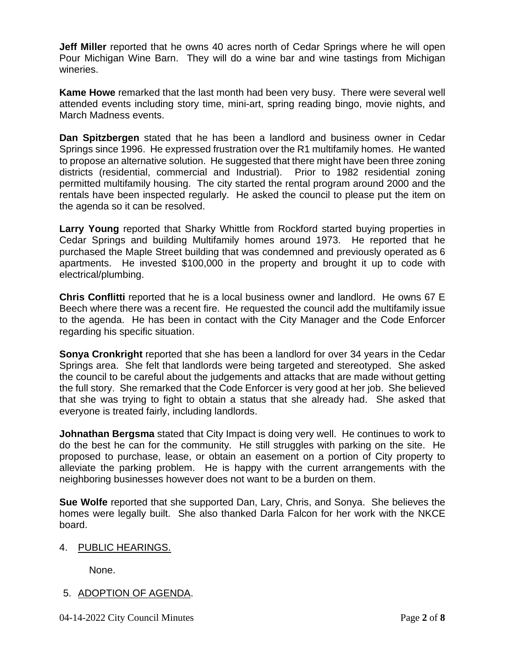**Jeff Miller** reported that he owns 40 acres north of Cedar Springs where he will open Pour Michigan Wine Barn. They will do a wine bar and wine tastings from Michigan wineries.

**Kame Howe** remarked that the last month had been very busy. There were several well attended events including story time, mini-art, spring reading bingo, movie nights, and March Madness events.

**Dan Spitzbergen** stated that he has been a landlord and business owner in Cedar Springs since 1996. He expressed frustration over the R1 multifamily homes. He wanted to propose an alternative solution. He suggested that there might have been three zoning districts (residential, commercial and Industrial). Prior to 1982 residential zoning permitted multifamily housing. The city started the rental program around 2000 and the rentals have been inspected regularly. He asked the council to please put the item on the agenda so it can be resolved.

**Larry Young** reported that Sharky Whittle from Rockford started buying properties in Cedar Springs and building Multifamily homes around 1973. He reported that he purchased the Maple Street building that was condemned and previously operated as 6 apartments. He invested \$100,000 in the property and brought it up to code with electrical/plumbing.

**Chris Conflitti** reported that he is a local business owner and landlord. He owns 67 E Beech where there was a recent fire. He requested the council add the multifamily issue to the agenda. He has been in contact with the City Manager and the Code Enforcer regarding his specific situation.

**Sonya Cronkright** reported that she has been a landlord for over 34 years in the Cedar Springs area. She felt that landlords were being targeted and stereotyped. She asked the council to be careful about the judgements and attacks that are made without getting the full story. She remarked that the Code Enforcer is very good at her job. She believed that she was trying to fight to obtain a status that she already had. She asked that everyone is treated fairly, including landlords.

**Johnathan Bergsma** stated that City Impact is doing very well. He continues to work to do the best he can for the community. He still struggles with parking on the site. He proposed to purchase, lease, or obtain an easement on a portion of City property to alleviate the parking problem. He is happy with the current arrangements with the neighboring businesses however does not want to be a burden on them.

**Sue Wolfe** reported that she supported Dan, Lary, Chris, and Sonya. She believes the homes were legally built. She also thanked Darla Falcon for her work with the NKCE board.

## 4. PUBLIC HEARINGS.

None.

# 5. ADOPTION OF AGENDA.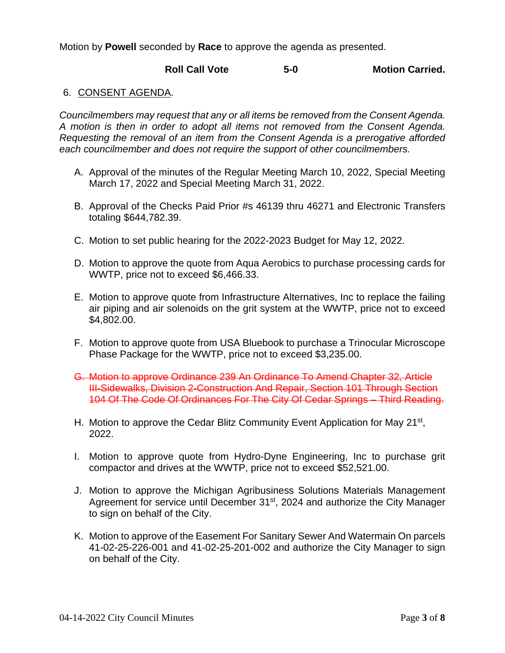Motion by **Powell** seconded by **Race** to approve the agenda as presented.

## **Roll Call Vote 5-0 Motion Carried.**

### 6. CONSENT AGENDA.

*Councilmembers may request that any or all items be removed from the Consent Agenda. A motion is then in order to adopt all items not removed from the Consent Agenda. Requesting the removal of an item from the Consent Agenda is a prerogative afforded each councilmember and does not require the support of other councilmembers.*

- A. Approval of the minutes of the Regular Meeting March 10, 2022, Special Meeting March 17, 2022 and Special Meeting March 31, 2022.
- B. Approval of the Checks Paid Prior #s 46139 thru 46271 and Electronic Transfers totaling \$644,782.39.
- C. Motion to set public hearing for the 2022-2023 Budget for May 12, 2022.
- D. Motion to approve the quote from Aqua Aerobics to purchase processing cards for WWTP, price not to exceed \$6,466.33.
- E. Motion to approve quote from Infrastructure Alternatives, Inc to replace the failing air piping and air solenoids on the grit system at the WWTP, price not to exceed \$4,802.00.
- F. Motion to approve quote from USA Bluebook to purchase a Trinocular Microscope Phase Package for the WWTP, price not to exceed \$3,235.00.
- G. Motion to approve Ordinance 239 An Ordinance To Amend Chapter 32, Article III-Sidewalks, Division 2-Construction And Repair, Section 101 Through Section 104 Of The Code Of Ordinances For The City Of Cedar Springs – Third Reading.
- H. Motion to approve the Cedar Blitz Community Event Application for May 21<sup>st</sup>, 2022.
- I. Motion to approve quote from Hydro-Dyne Engineering, Inc to purchase grit compactor and drives at the WWTP, price not to exceed \$52,521.00.
- J. Motion to approve the Michigan Agribusiness Solutions Materials Management Agreement for service until December 31<sup>st</sup>, 2024 and authorize the City Manager to sign on behalf of the City.
- K. Motion to approve of the Easement For Sanitary Sewer And Watermain On parcels 41-02-25-226-001 and 41-02-25-201-002 and authorize the City Manager to sign on behalf of the City.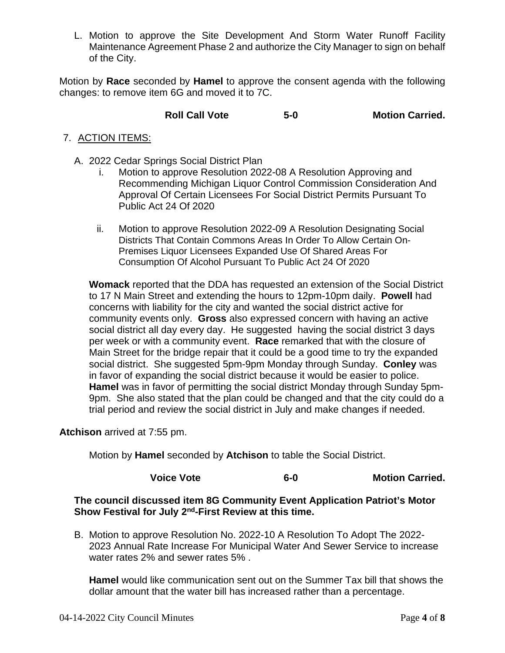L. Motion to approve the Site Development And Storm Water Runoff Facility Maintenance Agreement Phase 2 and authorize the City Manager to sign on behalf of the City.

Motion by **Race** seconded by **Hamel** to approve the consent agenda with the following changes: to remove item 6G and moved it to 7C.

## **Roll Call Vote 5-0 Motion Carried.**

### 7. ACTION ITEMS:

- A. 2022 Cedar Springs Social District Plan
	- i. Motion to approve Resolution 2022-08 A Resolution Approving and Recommending Michigan Liquor Control Commission Consideration And Approval Of Certain Licensees For Social District Permits Pursuant To Public Act 24 Of 2020
	- ii. Motion to approve Resolution 2022-09 A Resolution Designating Social Districts That Contain Commons Areas In Order To Allow Certain On-Premises Liquor Licensees Expanded Use Of Shared Areas For Consumption Of Alcohol Pursuant To Public Act 24 Of 2020

**Womack** reported that the DDA has requested an extension of the Social District to 17 N Main Street and extending the hours to 12pm-10pm daily. **Powell** had concerns with liability for the city and wanted the social district active for community events only. **Gross** also expressed concern with having an active social district all day every day. He suggested having the social district 3 days per week or with a community event. **Race** remarked that with the closure of Main Street for the bridge repair that it could be a good time to try the expanded social district. She suggested 5pm-9pm Monday through Sunday. **Conley** was in favor of expanding the social district because it would be easier to police. **Hamel** was in favor of permitting the social district Monday through Sunday 5pm-9pm. She also stated that the plan could be changed and that the city could do a trial period and review the social district in July and make changes if needed.

**Atchison** arrived at 7:55 pm.

Motion by **Hamel** seconded by **Atchison** to table the Social District.

**Voice Vote 6-0 Motion Carried.**

### **The council discussed item 8G Community Event Application Patriot's Motor Show Festival for July 2nd-First Review at this time.**

B. Motion to approve Resolution No. 2022-10 A Resolution To Adopt The 2022- 2023 Annual Rate Increase For Municipal Water And Sewer Service to increase water rates 2% and sewer rates 5% .

**Hamel** would like communication sent out on the Summer Tax bill that shows the dollar amount that the water bill has increased rather than a percentage.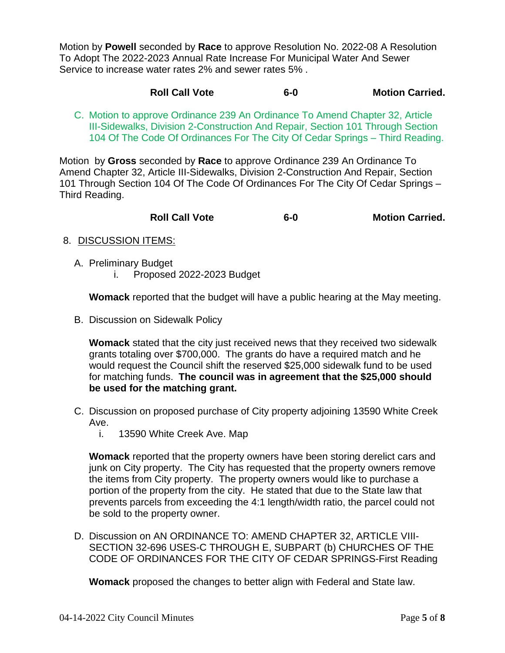Motion by **Powell** seconded by **Race** to approve Resolution No. 2022-08 A Resolution To Adopt The 2022-2023 Annual Rate Increase For Municipal Water And Sewer Service to increase water rates 2% and sewer rates 5% .

### **Roll Call Vote 6-0 Motion Carried.**

C. Motion to approve Ordinance 239 An Ordinance To Amend Chapter 32, Article III-Sidewalks, Division 2-Construction And Repair, Section 101 Through Section 104 Of The Code Of Ordinances For The City Of Cedar Springs – Third Reading.

Motion by **Gross** seconded by **Race** to approve Ordinance 239 An Ordinance To Amend Chapter 32, Article III-Sidewalks, Division 2-Construction And Repair, Section 101 Through Section 104 Of The Code Of Ordinances For The City Of Cedar Springs – Third Reading.

| <b>Roll Call Vote</b><br>$6-0$ | <b>Motion Carried.</b> |
|--------------------------------|------------------------|
|--------------------------------|------------------------|

### 8. DISCUSSION ITEMS:

- A. Preliminary Budget
	- i. Proposed 2022-2023 Budget

**Womack** reported that the budget will have a public hearing at the May meeting.

B. Discussion on Sidewalk Policy

**Womack** stated that the city just received news that they received two sidewalk grants totaling over \$700,000. The grants do have a required match and he would request the Council shift the reserved \$25,000 sidewalk fund to be used for matching funds. **The council was in agreement that the \$25,000 should be used for the matching grant.**

- C. Discussion on proposed purchase of City property adjoining 13590 White Creek Ave.
	- i. 13590 White Creek Ave. Map

**Womack** reported that the property owners have been storing derelict cars and junk on City property. The City has requested that the property owners remove the items from City property. The property owners would like to purchase a portion of the property from the city. He stated that due to the State law that prevents parcels from exceeding the 4:1 length/width ratio, the parcel could not be sold to the property owner.

D. Discussion on AN ORDINANCE TO: AMEND CHAPTER 32, ARTICLE VIII-SECTION 32-696 USES-C THROUGH E, SUBPART (b) CHURCHES OF THE CODE OF ORDINANCES FOR THE CITY OF CEDAR SPRINGS-First Reading

**Womack** proposed the changes to better align with Federal and State law.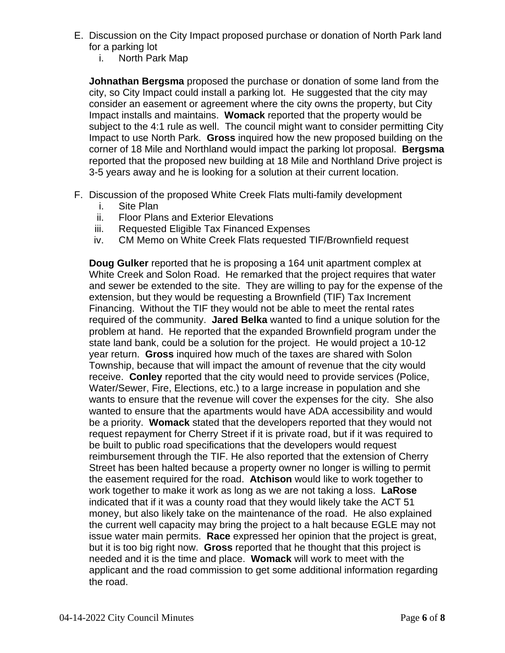- E. Discussion on the City Impact proposed purchase or donation of North Park land for a parking lot
	- i. North Park Map

**Johnathan Bergsma** proposed the purchase or donation of some land from the city, so City Impact could install a parking lot. He suggested that the city may consider an easement or agreement where the city owns the property, but City Impact installs and maintains. **Womack** reported that the property would be subject to the 4:1 rule as well. The council might want to consider permitting City Impact to use North Park. **Gross** inquired how the new proposed building on the corner of 18 Mile and Northland would impact the parking lot proposal. **Bergsma** reported that the proposed new building at 18 Mile and Northland Drive project is 3-5 years away and he is looking for a solution at their current location.

- F. Discussion of the proposed White Creek Flats multi-family development
	- i. Site Plan
	- ii. Floor Plans and Exterior Elevations
	- iii. Requested Eligible Tax Financed Expenses
	- iv. CM Memo on White Creek Flats requested TIF/Brownfield request

**Doug Gulker** reported that he is proposing a 164 unit apartment complex at White Creek and Solon Road. He remarked that the project requires that water and sewer be extended to the site. They are willing to pay for the expense of the extension, but they would be requesting a Brownfield (TIF) Tax Increment Financing. Without the TIF they would not be able to meet the rental rates required of the community. **Jared Belka** wanted to find a unique solution for the problem at hand. He reported that the expanded Brownfield program under the state land bank, could be a solution for the project. He would project a 10-12 year return. **Gross** inquired how much of the taxes are shared with Solon Township, because that will impact the amount of revenue that the city would receive. **Conley** reported that the city would need to provide services (Police, Water/Sewer, Fire, Elections, etc.) to a large increase in population and she wants to ensure that the revenue will cover the expenses for the city. She also wanted to ensure that the apartments would have ADA accessibility and would be a priority. **Womack** stated that the developers reported that they would not request repayment for Cherry Street if it is private road, but if it was required to be built to public road specifications that the developers would request reimbursement through the TIF. He also reported that the extension of Cherry Street has been halted because a property owner no longer is willing to permit the easement required for the road. **Atchison** would like to work together to work together to make it work as long as we are not taking a loss. **LaRose** indicated that if it was a county road that they would likely take the ACT 51 money, but also likely take on the maintenance of the road. He also explained the current well capacity may bring the project to a halt because EGLE may not issue water main permits. **Race** expressed her opinion that the project is great, but it is too big right now. **Gross** reported that he thought that this project is needed and it is the time and place. **Womack** will work to meet with the applicant and the road commission to get some additional information regarding the road.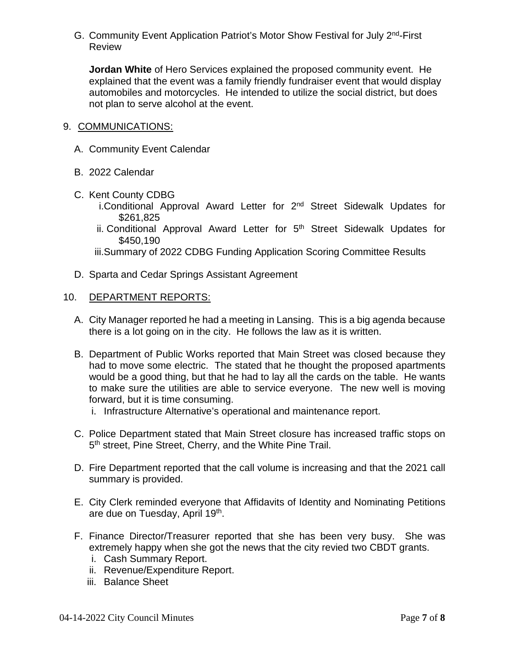G. Community Event Application Patriot's Motor Show Festival for July 2nd-First Review

**Jordan White** of Hero Services explained the proposed community event. He explained that the event was a family friendly fundraiser event that would display automobiles and motorcycles. He intended to utilize the social district, but does not plan to serve alcohol at the event.

### 9. COMMUNICATIONS:

- A. Community Event Calendar
- B. 2022 Calendar
- C. Kent County CDBG
	- i.Conditional Approval Award Letter for 2<sup>nd</sup> Street Sidewalk Updates for \$261,825
	- ii. Conditional Approval Award Letter for 5<sup>th</sup> Street Sidewalk Updates for \$450,190
	- iii.Summary of 2022 CDBG Funding Application Scoring Committee Results
- D. Sparta and Cedar Springs Assistant Agreement

### 10. DEPARTMENT REPORTS:

- A. City Manager reported he had a meeting in Lansing. This is a big agenda because there is a lot going on in the city. He follows the law as it is written.
- B. Department of Public Works reported that Main Street was closed because they had to move some electric. The stated that he thought the proposed apartments would be a good thing, but that he had to lay all the cards on the table. He wants to make sure the utilities are able to service everyone. The new well is moving forward, but it is time consuming.
	- i. Infrastructure Alternative's operational and maintenance report.
- C. Police Department stated that Main Street closure has increased traffic stops on 5<sup>th</sup> street, Pine Street, Cherry, and the White Pine Trail.
- D. Fire Department reported that the call volume is increasing and that the 2021 call summary is provided.
- E. City Clerk reminded everyone that Affidavits of Identity and Nominating Petitions are due on Tuesday, April 19th.
- F. Finance Director/Treasurer reported that she has been very busy. She was extremely happy when she got the news that the city revied two CBDT grants.
	- i. Cash Summary Report.
	- ii. Revenue/Expenditure Report.
	- iii. Balance Sheet